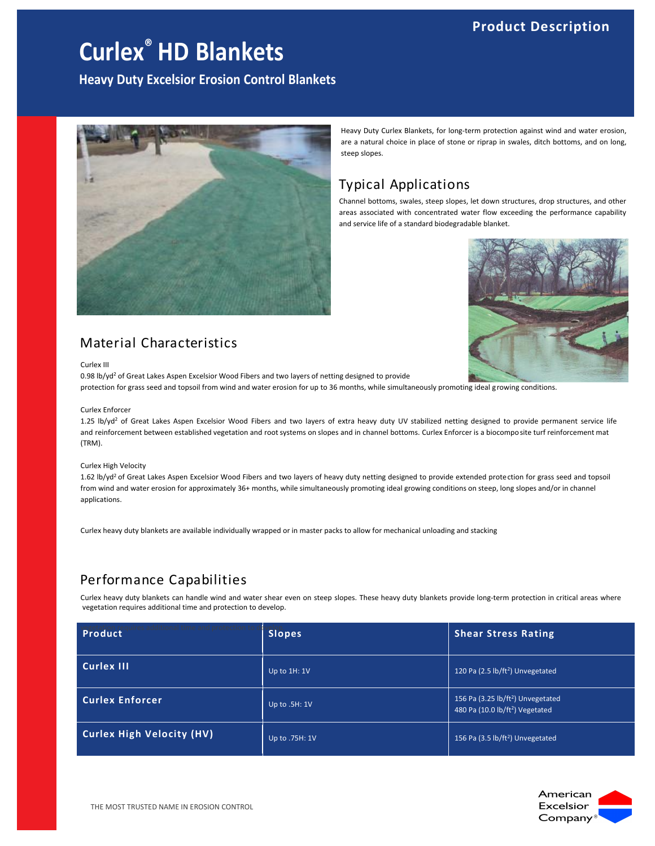## **Product Description**

## **Curlex® HD Blankets**

**Heavy Duty Excelsior Erosion Control Blankets**



## Material Characteristics

Curlex III

0.98 lb/yd<sup>2</sup> of Great Lakes Aspen Excelsior Wood Fibers and two layers of netting designed to provide protection for grass seed and topsoil from wind and water erosion for up to 36 months, while simultaneously promoting ideal growing conditions.

#### Curlex Enforcer

1.25 lb/yd<sup>2</sup> of Great Lakes Aspen Excelsior Wood Fibers and two layers of extra heavy duty UV stabilized netting designed to provide permanent service life and reinforcement between established vegetation and root systems on slopes and in channel bottoms. Curlex Enforcer is a biocompo site turf reinforcement mat (TRM).

#### Curlex High Velocity

1.62 lb/yd<sup>2</sup> of Great Lakes Aspen Excelsior Wood Fibers and two layers of heavy duty netting designed to provide extended protection for grass seed and topsoil from wind and water erosion for approximately 36+ months, while simultaneously promoting ideal growing conditions on steep, long slopes and/or in channel applications.

Curlex heavy duty blankets are available individually wrapped or in master packs to allow for mechanical unloading and stacking

### Performance Capabilities

Curlex heavy duty blankets can handle wind and water shear even on steep slopes. These heavy duty blankets provide long-term protection in critical areas where vegetation requires additional time and protection to develop.

| Product                          | <b>Slopes</b>  | <b>Shear Stress Rating</b>                                                                   |
|----------------------------------|----------------|----------------------------------------------------------------------------------------------|
| Curlex III                       | Up to 1H: 1V   | 120 Pa (2.5 lb/ft <sup>2</sup> ) Unvegetated                                                 |
| <b>Curlex Enforcer</b>           | Up to .5H: 1V  | 156 Pa (3.25 lb/ft <sup>2</sup> ) Unvegetated<br>480 Pa (10.0 lb/ft <sup>2</sup> ) Vegetated |
| <b>Curlex High Velocity (HV)</b> | Up to .75H: 1V | 156 Pa (3.5 lb/ft <sup>2</sup> ) Unvegetated                                                 |



Heavy Duty Curlex Blankets, for long-term protection against wind and water erosion, are a natural choice in place of stone or riprap in swales, ditch bottoms, and on long,

## Typical Applications

steep slopes.

Channel bottoms, swales, steep slopes, let down structures, drop structures, and other areas associated with concentrated water flow exceeding the performance capability and service life of a standard biodegradable blanket.